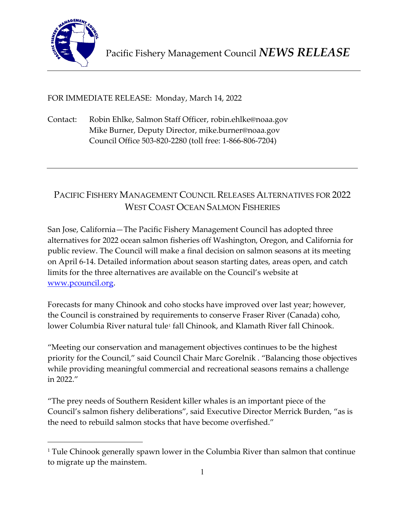

FOR IMMEDIATE RELEASE: Monday, March 14, 2022

Contact: Robin Ehlke, Salmon Staff Officer, robin.ehlke@noaa.gov Mike Burner, Deputy Director, mike.burner@noaa.gov Council Office 503-820-2280 (toll free: 1-866-806-7204)

# PACIFIC FISHERY MANAGEMENT COUNCIL RELEASES ALTERNATIVES FOR 2022 WEST COAST OCEAN SALMON FISHERIES

San Jose, California—The Pacific Fishery Management Council has adopted three alternatives for 2022 ocean salmon fisheries off Washington, Oregon, and California for public review. The Council will make a final decision on salmon seasons at its meeting on April 6-14. Detailed information about season starting dates, areas open, and catch limits for the three alternatives are available on the Council's website at [www.pcouncil.org.](https://www.pcouncil.org/annual-salmon-management-process/#2022-2023)

Forecasts for many Chinook and coho stocks have improved over last year; however, the Council is constrained by requirements to conserve Fraser River (Canada) coho, lower Columbia River natural tule<sup>[1](#page-0-0)</sup> fall Chinook, and Klamath River fall Chinook.

"Meeting our conservation and management objectives continues to be the highest priority for the Council," said Council Chair Marc Gorelnik . "Balancing those objectives while providing meaningful commercial and recreational seasons remains a challenge in 2022."

"The prey needs of Southern Resident killer whales is an important piece of the Council's salmon fishery deliberations", said Executive Director Merrick Burden, "as is the need to rebuild salmon stocks that have become overfished."

<span id="page-0-0"></span><sup>&</sup>lt;sup>1</sup> Tule Chinook generally spawn lower in the Columbia River than salmon that continue to migrate up the mainstem.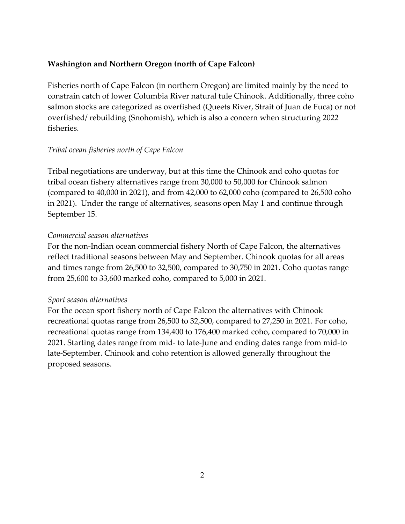# **Washington and Northern Oregon (north of Cape Falcon)**

Fisheries north of Cape Falcon (in northern Oregon) are limited mainly by the need to constrain catch of lower Columbia River natural tule Chinook. Additionally, three coho salmon stocks are categorized as overfished (Queets River, Strait of Juan de Fuca) or not overfished/ rebuilding (Snohomish), which is also a concern when structuring 2022 fisheries.

# *Tribal ocean fisheries north of Cape Falcon*

Tribal negotiations are underway, but at this time the Chinook and coho quotas for tribal ocean fishery alternatives range from 30,000 to 50,000 for Chinook salmon (compared to 40,000 in 2021), and from 42,000 to 62,000 coho (compared to 26,500 coho in 2021). Under the range of alternatives, seasons open May 1 and continue through September 15.

# *Commercial season alternatives*

For the non-Indian ocean commercial fishery North of Cape Falcon, the alternatives reflect traditional seasons between May and September. Chinook quotas for all areas and times range from 26,500 to 32,500, compared to 30,750 in 2021. Coho quotas range from 25,600 to 33,600 marked coho, compared to 5,000 in 2021.

# *Sport season alternatives*

For the ocean sport fishery north of Cape Falcon the alternatives with Chinook recreational quotas range from 26,500 to 32,500, compared to 27,250 in 2021. For coho, recreational quotas range from 134,400 to 176,400 marked coho, compared to 70,000 in 2021. Starting dates range from mid- to late-June and ending dates range from mid-to late-September. Chinook and coho retention is allowed generally throughout the proposed seasons.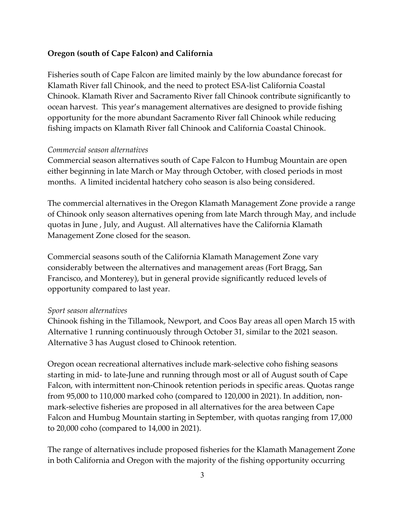### **Oregon (south of Cape Falcon) and California**

Fisheries south of Cape Falcon are limited mainly by the low abundance forecast for Klamath River fall Chinook, and the need to protect ESA-list California Coastal Chinook. Klamath River and Sacramento River fall Chinook contribute significantly to ocean harvest. This year's management alternatives are designed to provide fishing opportunity for the more abundant Sacramento River fall Chinook while reducing fishing impacts on Klamath River fall Chinook and California Coastal Chinook.

#### *Commercial season alternatives*

Commercial season alternatives south of Cape Falcon to Humbug Mountain are open either beginning in late March or May through October, with closed periods in most months. A limited incidental hatchery coho season is also being considered.

The commercial alternatives in the Oregon Klamath Management Zone provide a range of Chinook only season alternatives opening from late March through May, and include quotas in June , July, and August. All alternatives have the California Klamath Management Zone closed for the season.

Commercial seasons south of the California Klamath Management Zone vary considerably between the alternatives and management areas (Fort Bragg, San Francisco, and Monterey), but in general provide significantly reduced levels of opportunity compared to last year.

#### *Sport season alternatives*

Chinook fishing in the Tillamook, Newport, and Coos Bay areas all open March 15 with Alternative 1 running continuously through October 31, similar to the 2021 season. Alternative 3 has August closed to Chinook retention.

Oregon ocean recreational alternatives include mark-selective coho fishing seasons starting in mid- to late-June and running through most or all of August south of Cape Falcon, with intermittent non-Chinook retention periods in specific areas. Quotas range from 95,000 to 110,000 marked coho (compared to 120,000 in 2021). In addition, nonmark-selective fisheries are proposed in all alternatives for the area between Cape Falcon and Humbug Mountain starting in September, with quotas ranging from 17,000 to 20,000 coho (compared to 14,000 in 2021).

The range of alternatives include proposed fisheries for the Klamath Management Zone in both California and Oregon with the majority of the fishing opportunity occurring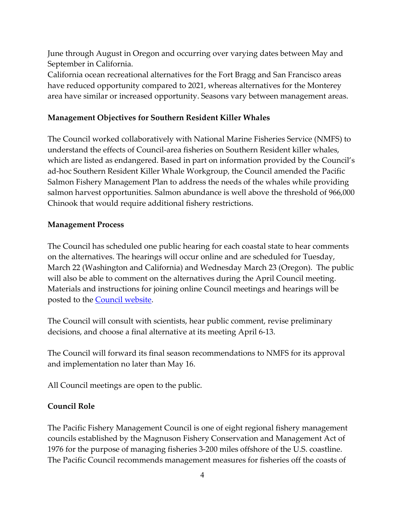June through August in Oregon and occurring over varying dates between May and September in California.

California ocean recreational alternatives for the Fort Bragg and San Francisco areas have reduced opportunity compared to 2021, whereas alternatives for the Monterey area have similar or increased opportunity. Seasons vary between management areas.

### **Management Objectives for Southern Resident Killer Whales**

The Council worked collaboratively with National Marine Fisheries Service (NMFS) to understand the effects of Council-area fisheries on Southern Resident killer whales, which are listed as endangered. Based in part on information provided by the Council's ad-hoc Southern Resident Killer Whale Workgroup, the Council amended the Pacific Salmon Fishery Management Plan to address the needs of the whales while providing salmon harvest opportunities. Salmon abundance is well above the threshold of 966,000 Chinook that would require additional fishery restrictions.

### **Management Process**

The Council has scheduled one public hearing for each coastal state to hear comments on the alternatives. The hearings will occur online and are scheduled for Tuesday, March 22 (Washington and California) and Wednesday March 23 (Oregon). The public will also be able to comment on the alternatives during the April Council meeting. Materials and instructions for joining online Council meetings and hearings will be posted to the **Council website**.

The Council will consult with scientists, hear public comment, revise preliminary decisions, and choose a final alternative at its meeting April 6-13.

The Council will forward its final season recommendations to NMFS for its approval and implementation no later than May 16.

All Council meetings are open to the public.

# **Council Role**

The Pacific Fishery Management Council is one of eight regional fishery management councils established by the Magnuson Fishery Conservation and Management Act of 1976 for the purpose of managing fisheries 3-200 miles offshore of the U.S. coastline. The Pacific Council recommends management measures for fisheries off the coasts of